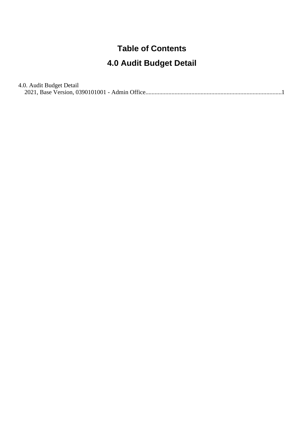#### **Table of Contents**

#### **4.0 Audit Budget Detail**

#### 4.0. Audit Budget Detail

[2021, Base Version, 0390101001 - Admin Office........................................................................................](#page-1-0).1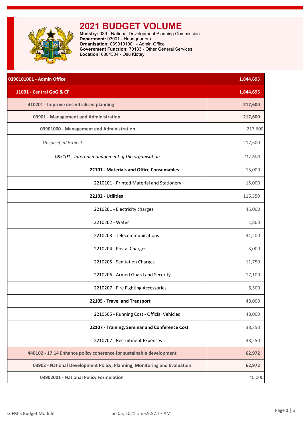<span id="page-1-0"></span>

# **2021 BUDGET VOLUME**

**Ministry:** 039 - National Development Planning Commission **Department:** 03901 - Headquarters **Organisation:** 0390101001 - Admin Office **Government Function:** 70133 - Other General Services **Location:** 0304304 - Osu Klotey

| 0390101001 - Admin Office                                                | 1,844,695 |
|--------------------------------------------------------------------------|-----------|
| 11001 - Central GoG & CF                                                 | 1,844,695 |
| 410201 - Improve decentralised planning                                  | 217,600   |
| 03901 - Management and Administration                                    | 217,600   |
| 03901000 - Management and Administration                                 | 217,600   |
| <b>Unspecified Project</b>                                               | 217,600   |
| 085101 - Internal management of the organisation                         | 217,600   |
| 22101 - Materials and Office Consumables                                 | 15,000    |
| 2210101 - Printed Material and Stationery                                | 15,000    |
| 22102 - Utilities                                                        | 116,350   |
| 2210201 - Electricity charges                                            | 45,000    |
| 2210202 - Water                                                          | 1,800     |
| 2210203 - Telecommunications                                             | 31,200    |
| 2210204 - Postal Charges                                                 | 3,000     |
| 2210205 - Sanitation Charges                                             | 11,750    |
| 2210206 - Armed Guard and Security                                       | 17,100    |
| 2210207 - Fire Fighting Accessories                                      | 6,500     |
| 22105 - Travel and Transport                                             | 48,000    |
| 2210505 - Running Cost - Official Vehicles                               | 48,000    |
| 22107 - Training, Seminar and Conference Cost                            | 38,250    |
| 2210707 - Recruitment Expenses                                           | 38,250    |
| 440102 - 17.14 Enhance policy coherence for sustainable development      | 62,972    |
| 03902 - National Development Policy, Planning, Monitoring and Evaluation | 62,972    |
| 03902001 - National Policy Formulation                                   | 40,000    |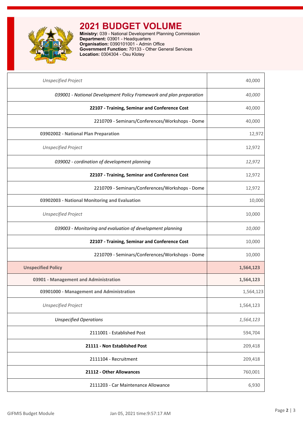

# **2021 BUDGET VOLUME**

**Ministry:** 039 - National Development Planning Commission **Department:** 03901 - Headquarters **Organisation:** 0390101001 - Admin Office **Government Function:** 70133 - Other General Services **Location:** 0304304 - Osu Klotey

| <b>Unspecified Project</b>                                          | 40,000    |
|---------------------------------------------------------------------|-----------|
| 039001 - National Development Policy Framework and plan preparation | 40,000    |
| 22107 - Training, Seminar and Conference Cost                       | 40,000    |
| 2210709 - Seminars/Conferences/Workshops - Dome                     | 40,000    |
| 03902002 - National Plan Preparation                                | 12,972    |
| <b>Unspecified Project</b>                                          | 12,972    |
| 039002 - cordination of development planning                        | 12,972    |
| 22107 - Training, Seminar and Conference Cost                       | 12,972    |
| 2210709 - Seminars/Conferences/Workshops - Dome                     | 12,972    |
| 03902003 - National Monitoring and Evaluation                       | 10,000    |
| <b>Unspecified Project</b>                                          | 10,000    |
| 039003 - Monitoring and evaluation of development planning          | 10,000    |
| 22107 - Training, Seminar and Conference Cost                       | 10,000    |
| 2210709 - Seminars/Conferences/Workshops - Dome                     | 10,000    |
| <b>Unspecified Policy</b>                                           | 1,564,123 |
| 03901 - Management and Administration                               | 1,564,123 |
| 03901000 - Management and Administration                            | 1,564,123 |
| <b>Unspecified Project</b>                                          | 1,564,123 |
| <b>Unspecified Operations</b>                                       | 1,564,123 |
| 2111001 - Established Post                                          | 594,704   |
| 21111 - Non Established Post                                        | 209,418   |
| 2111104 - Recruitment                                               | 209,418   |
| 21112 - Other Allowances                                            | 760,001   |
| 2111203 - Car Maintenance Allowance                                 | 6,930     |